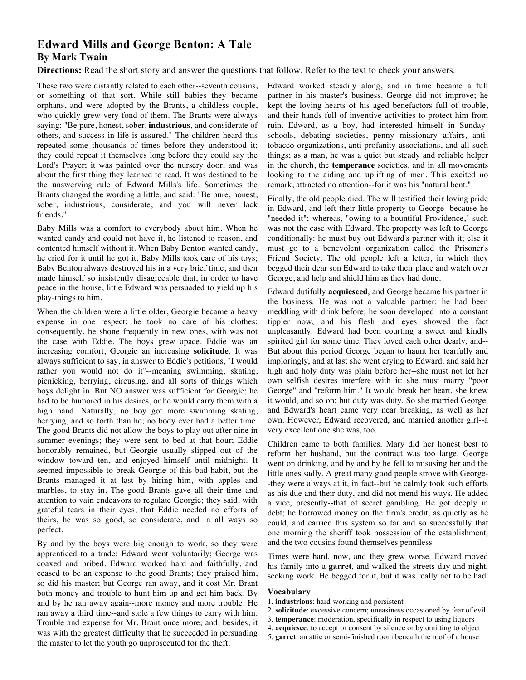## **Edward Mills and George Benton: A Tale By Mark Twain**

**Directions:** Read the short story and answer the questions that follow. Refer to the text to check your answers.

These two were distantly related to each other--seventh cousins, or something of that sort. While still babies they became orphans, and were adopted by the Brants, a childless couple, who quickly grew very fond of them. The Brants were always saying: "Be pure, honest, sober, **industrious**, and considerate of others, and success in life is assured." The children heard this repeated some thousands of times before they understood it; they could repeat it themselves long before they could say the Lord's Prayer; it was painted over the nursery door, and was about the first thing they learned to read. It was destined to be the unswerving rule of Edward Mills's life. Sometimes the Brants changed the wording a little, and said: "Be pure, honest, sober, industrious, considerate, and you will never lack friends."

Baby Mills was a comfort to everybody about him. When he wanted candy and could not have it, he listened to reason, and contented himself without it. When Baby Benton wanted candy, he cried for it until he got it. Baby Mills took care of his toys; Baby Benton always destroyed his in a very brief time, and then made himself so insistently disagreeable that, in order to have peace in the house, little Edward was persuaded to yield up his play-things to him.

When the children were a little older, Georgie became a heavy expense in one respect: he took no care of his clothes; consequently, he shone frequently in new ones, with was not the case with Eddie. The boys grew apace. Eddie was an increasing comfort, Georgie an increasing **solicitude**. It was always sufficient to say, in answer to Eddie's petitions, "I would rather you would not do it"--meaning swimming, skating, picnicking, berrying, circusing, and all sorts of things which boys delight in. But NO answer was sufficient for Georgie; he had to be humored in his desires, or he would carry them with a high hand. Naturally, no boy got more swimming skating, berrying, and so forth than he; no body ever had a better time. The good Brants did not allow the boys to play out after nine in summer evenings; they were sent to bed at that hour; Eddie honorably remained, but Georgie usually slipped out of the window toward ten, and enjoyed himself until midnight. It seemed impossible to break Georgie of this bad habit, but the Brants managed it at last by hiring him, with apples and marbles, to stay in. The good Brants gave all their time and attention to vain endeavors to regulate Georgie; they said, with grateful tears in their eyes, that Eddie needed no efforts of theirs, he was so good, so considerate, and in all ways so perfect.

By and by the boys were big enough to work, so they were apprenticed to a trade: Edward went voluntarily; George was coaxed and bribed. Edward worked hard and faithfully, and ceased to be an expense to the good Brants; they praised him, so did his master; but George ran away, and it cost Mr. Brant both money and trouble to hunt him up and get him back. By and by he ran away again--more money and more trouble. He ran away a third time--and stole a few things to carry with him. Trouble and expense for Mr. Brant once more; and, besides, it was with the greatest difficulty that he succeeded in persuading the master to let the youth go unprosecuted for the theft.

Edward worked steadily along, and in time became a full partner in his master's business. George did not improve; he kept the loving hearts of his aged benefactors full of trouble, and their hands full of inventive activities to protect him from ruin. Edward, as a boy, had interested himself in Sundayschools, debating societies, penny missionary affairs, antitobacco organizations, anti-profanity associations, and all such things; as a man, he was a quiet but steady and reliable helper in the church, the **temperance** societies, and in all movements looking to the aiding and uplifting of men. This excited no remark, attracted no attention--for it was his "natural bent."

Finally, the old people died. The will testified their loving pride in Edward, and left their little property to George--because he "needed it"; whereas, "owing to a bountiful Providence," such was not the case with Edward. The property was left to George conditionally: he must buy out Edward's partner with it; else it must go to a benevolent organization called the Prisoner's Friend Society. The old people left a letter, in which they begged their dear son Edward to take their place and watch over George, and help and shield him as they had done.

Edward dutifully **acquiesced**, and George became his partner in the business. He was not a valuable partner: he had been meddling with drink before; he soon developed into a constant tippler now, and his flesh and eyes showed the fact unpleasantly. Edward had been courting a sweet and kindly spirited girl for some time. They loved each other dearly, and-- But about this period George began to haunt her tearfully and imploringly, and at last she went crying to Edward, and said her high and holy duty was plain before her--she must not let her own selfish desires interfere with it: she must marry "poor George" and "reform him." It would break her heart, she knew it would, and so on; but duty was duty. So she married George, and Edward's heart came very near breaking, as well as her own. However, Edward recovered, and married another girl--a very excellent one she was, too.

Children came to both families. Mary did her honest best to reform her husband, but the contract was too large. George went on drinking, and by and by he fell to misusing her and the little ones sadly. A great many good people strove with George- -they were always at it, in fact--but he calmly took such efforts as his due and their duty, and did not mend his ways. He added a vice, presently--that of secret gambling. He got deeply in debt; he borrowed money on the firm's credit, as quietly as he could, and carried this system so far and so successfully that one morning the sheriff took possession of the establishment, and the two cousins found themselves penniless.

Times were hard, now, and they grew worse. Edward moved his family into a **garret**, and walked the streets day and night, seeking work. He begged for it, but it was really not to be had.

## **Vocabulary**

- 1. **industrious**: hard-working and persistent
- 2. **solicitude**: excessive concern; uneasiness occasioned by fear of evil
- 3. **temperance**: moderation, specifically in respect to using liquors
- 4. **acquiesce**: to accept or consent by silence or by omitting to object
- 5. **garret**: an attic or semi-finished room beneath the roof of a house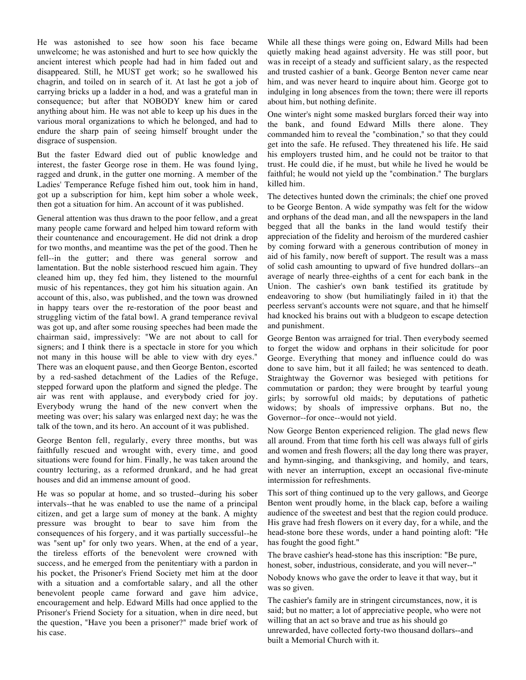He was astonished to see how soon his face became unwelcome; he was astonished and hurt to see how quickly the ancient interest which people had had in him faded out and disappeared. Still, he MUST get work; so he swallowed his chagrin, and toiled on in search of it. At last he got a job of carrying bricks up a ladder in a hod, and was a grateful man in consequence; but after that NOBODY knew him or cared anything about him. He was not able to keep up his dues in the various moral organizations to which he belonged, and had to endure the sharp pain of seeing himself brought under the disgrace of suspension.

But the faster Edward died out of public knowledge and interest, the faster George rose in them. He was found lying, ragged and drunk, in the gutter one morning. A member of the Ladies' Temperance Refuge fished him out, took him in hand, got up a subscription for him, kept him sober a whole week, then got a situation for him. An account of it was published.

General attention was thus drawn to the poor fellow, and a great many people came forward and helped him toward reform with their countenance and encouragement. He did not drink a drop for two months, and meantime was the pet of the good. Then he fell--in the gutter; and there was general sorrow and lamentation. But the noble sisterhood rescued him again. They cleaned him up, they fed him, they listened to the mournful music of his repentances, they got him his situation again. An account of this, also, was published, and the town was drowned in happy tears over the re-restoration of the poor beast and struggling victim of the fatal bowl. A grand temperance revival was got up, and after some rousing speeches had been made the chairman said, impressively: "We are not about to call for signers; and I think there is a spectacle in store for you which not many in this house will be able to view with dry eyes." There was an eloquent pause, and then George Benton, escorted by a red-sashed detachment of the Ladies of the Refuge, stepped forward upon the platform and signed the pledge. The air was rent with applause, and everybody cried for joy. Everybody wrung the hand of the new convert when the meeting was over; his salary was enlarged next day; he was the talk of the town, and its hero. An account of it was published.

George Benton fell, regularly, every three months, but was faithfully rescued and wrought with, every time, and good situations were found for him. Finally, he was taken around the country lecturing, as a reformed drunkard, and he had great houses and did an immense amount of good.

He was so popular at home, and so trusted--during his sober intervals--that he was enabled to use the name of a principal citizen, and get a large sum of money at the bank. A mighty pressure was brought to bear to save him from the consequences of his forgery, and it was partially successful--he was "sent up" for only two years. When, at the end of a year, the tireless efforts of the benevolent were crowned with success, and he emerged from the penitentiary with a pardon in his pocket, the Prisoner's Friend Society met him at the door with a situation and a comfortable salary, and all the other benevolent people came forward and gave him advice, encouragement and help. Edward Mills had once applied to the Prisoner's Friend Society for a situation, when in dire need, but the question, "Have you been a prisoner?" made brief work of his case.

While all these things were going on, Edward Mills had been quietly making head against adversity. He was still poor, but was in receipt of a steady and sufficient salary, as the respected and trusted cashier of a bank. George Benton never came near him, and was never heard to inquire about him. George got to indulging in long absences from the town; there were ill reports about him, but nothing definite.

One winter's night some masked burglars forced their way into the bank, and found Edward Mills there alone. They commanded him to reveal the "combination," so that they could get into the safe. He refused. They threatened his life. He said his employers trusted him, and he could not be traitor to that trust. He could die, if he must, but while he lived he would be faithful; he would not yield up the "combination." The burglars killed him.

The detectives hunted down the criminals; the chief one proved to be George Benton. A wide sympathy was felt for the widow and orphans of the dead man, and all the newspapers in the land begged that all the banks in the land would testify their appreciation of the fidelity and heroism of the murdered cashier by coming forward with a generous contribution of money in aid of his family, now bereft of support. The result was a mass of solid cash amounting to upward of five hundred dollars--an average of nearly three-eighths of a cent for each bank in the Union. The cashier's own bank testified its gratitude by endeavoring to show (but humiliatingly failed in it) that the peerless servant's accounts were not square, and that he himself had knocked his brains out with a bludgeon to escape detection and punishment.

George Benton was arraigned for trial. Then everybody seemed to forget the widow and orphans in their solicitude for poor George. Everything that money and influence could do was done to save him, but it all failed; he was sentenced to death. Straightway the Governor was besieged with petitions for commutation or pardon; they were brought by tearful young girls; by sorrowful old maids; by deputations of pathetic widows; by shoals of impressive orphans. But no, the Governor--for once--would not yield.

Now George Benton experienced religion. The glad news flew all around. From that time forth his cell was always full of girls and women and fresh flowers; all the day long there was prayer, and hymn-singing, and thanksgiving, and homily, and tears, with never an interruption, except an occasional five-minute intermission for refreshments.

This sort of thing continued up to the very gallows, and George Benton went proudly home, in the black cap, before a wailing audience of the sweetest and best that the region could produce. His grave had fresh flowers on it every day, for a while, and the head-stone bore these words, under a hand pointing aloft: "He has fought the good fight."

The brave cashier's head-stone has this inscription: "Be pure, honest, sober, industrious, considerate, and you will never--"

Nobody knows who gave the order to leave it that way, but it was so given.

The cashier's family are in stringent circumstances, now, it is said; but no matter; a lot of appreciative people, who were not willing that an act so brave and true as his should go unrewarded, have collected forty-two thousand dollars--and built a Memorial Church with it.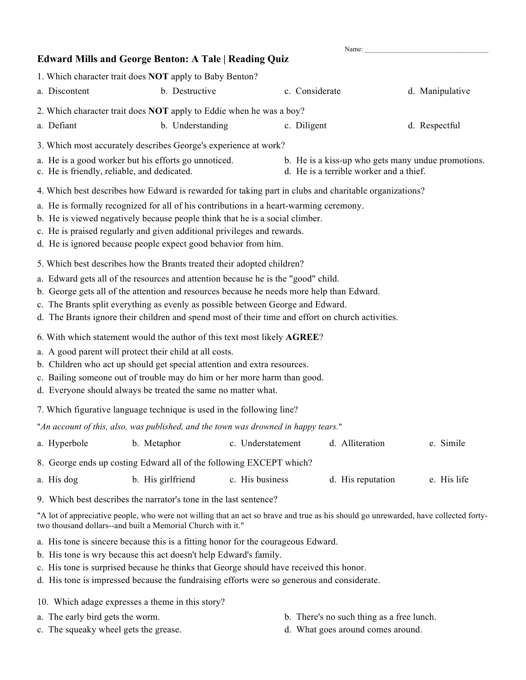## Name: **Edward Mills and George Benton: A Tale | Reading Quiz** 1. Which character trait does **NOT** apply to Baby Benton? a. Discontent b. Destructive c. Considerate d. Manipulative 2. Which character trait does **NOT** apply to Eddie when he was a boy? a. Defiant b. Understanding c. Diligent d. Respectful 3. Which most accurately describes George's experience at work? a. He is a good worker but his efforts go unnoticed. b. He is a kiss-up who gets many undue promotions. c. He is friendly, reliable, and dedicated. d. He is a terrible worker and a thief. 4. Which best describes how Edward is rewarded for taking part in clubs and charitable organizations? a. He is formally recognized for all of his contributions in a heart-warming ceremony. b. He is viewed negatively because people think that he is a social climber. c. He is praised regularly and given additional privileges and rewards. d. He is ignored because people expect good behavior from him. 5. Which best describes how the Brants treated their adopted children? a. Edward gets all of the resources and attention because he is the "good" child. b. George gets all of the attention and resources because he needs more help than Edward. c. The Brants split everything as evenly as possible between George and Edward. d. The Brants ignore their children and spend most of their time and effort on church activities. 6. With which statement would the author of this text most likely **AGREE**? a. A good parent will protect their child at all costs. b. Children who act up should get special attention and extra resources. c. Bailing someone out of trouble may do him or her more harm than good. d. Everyone should always be treated the same no matter what. 7. Which figurative language technique is used in the following line? "*An account of this, also, was published, and the town was drowned in happy tears.*" a. Hyperbole b. Metaphor c. Understatement d. Alliteration e. Simile 8. George ends up costing Edward all of the following EXCEPT which? a. His dog b. His girlfriend c. His business d. His reputation e. His life 9. Which best describes the narrator's tone in the last sentence? "A lot of appreciative people, who were not willing that an act so brave and true as his should go unrewarded, have collected fortytwo thousand dollars--and built a Memorial Church with it."

- a. His tone is sincere because this is a fitting honor for the courageous Edward.
- b. His tone is wry because this act doesn't help Edward's family.
- c. His tone is surprised because he thinks that George should have received this honor.
- d. His tone is impressed because the fundraising efforts were so generous and considerate.

10. Which adage expresses a theme in this story?

- 
- c. The squeaky wheel gets the grease. d. What goes around comes around.
- a. The early bird gets the worm. b. There's no such thing as a free lunch.
	-